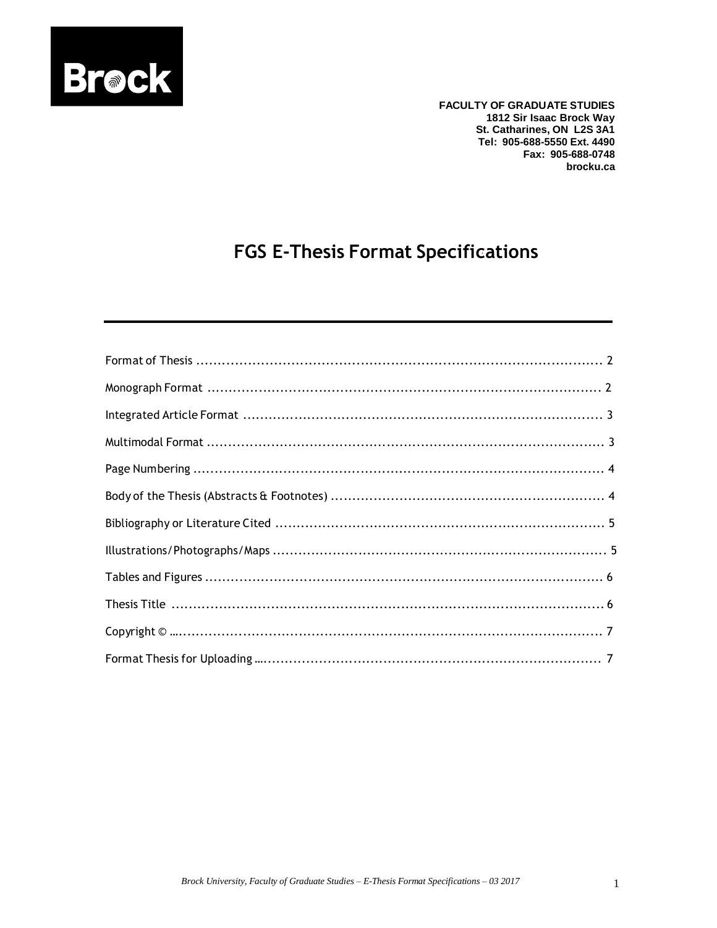

**FACULTY OF GRADUATE STUDIES** 1812 Sir Isaac Brock Way St. Catharines, ON L2S 3A1 Tel: 905-688-5550 Ext. 4490 Fax: 905-688-0748 brocku.ca

# **FGS E-Thesis Format Specifications**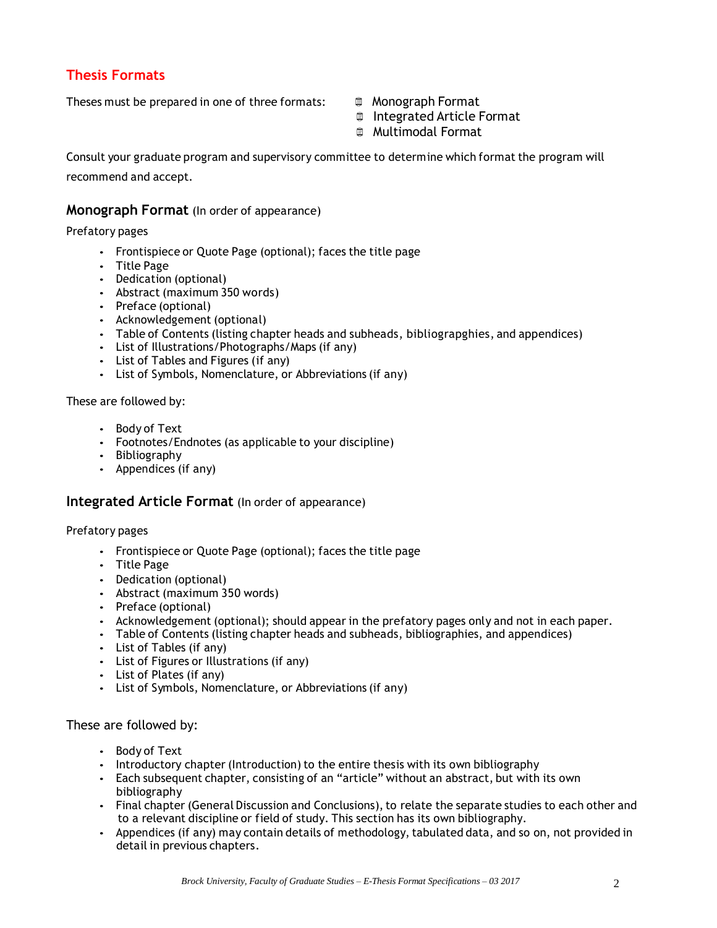# **Thesis Formats**

Theses must be prepared in one of three formats:  $\Box$  Monograph Format

- 
- Integrated Article Format
- **Multimodal Format**

Consult your graduate program and supervisory committee to determine which format the program will recommend and accept.

#### **Monograph Format** (In order of appearance)

Prefatory pages

- Frontispiece or Quote Page (optional); faces the title page
- Title Page
- Dedication (optional)
- Abstract (maximum 350 words)
- Preface (optional)
- Acknowledgement (optional)
- Table of Contents (listing chapter heads and subheads, bibliograpghies, and appendices)
- List of Illustrations/Photographs/Maps (if any)
- List of Tables and Figures (if any)
- List of Symbols, Nomenclature, or Abbreviations (if any)

These are followed by:

- Body of Text
- Footnotes/Endnotes (as applicable to your discipline)
- Bibliography
- Appendices (if any)

#### **Integrated Article Format** (In order of appearance)

Prefatory pages

- Frontispiece or Quote Page (optional); faces the title page
- Title Page
- Dedication (optional)
- Abstract (maximum 350 words)
- Preface (optional)
- Acknowledgement (optional); should appear in the prefatory pages only and not in each paper.
- Table of Contents (listing chapter heads and subheads, bibliographies, and appendices)
- List of Tables (if any)
- List of Figures or Illustrations (if any)
- List of Plates (if any)
- List of Symbols, Nomenclature, or Abbreviations (if any)

#### These are followed by:

- Body of Text
- Introductory chapter (Introduction) to the entire thesis with its own bibliography
- Each subsequent chapter, consisting of an "article" without an abstract, but with its own bibliography
- Final chapter (General Discussion and Conclusions), to relate the separate studies to each other and to a relevant discipline or field of study. This section has its own bibliography.
- Appendices (if any) may contain details of methodology, tabulated data, and so on, not provided in detail in previous chapters.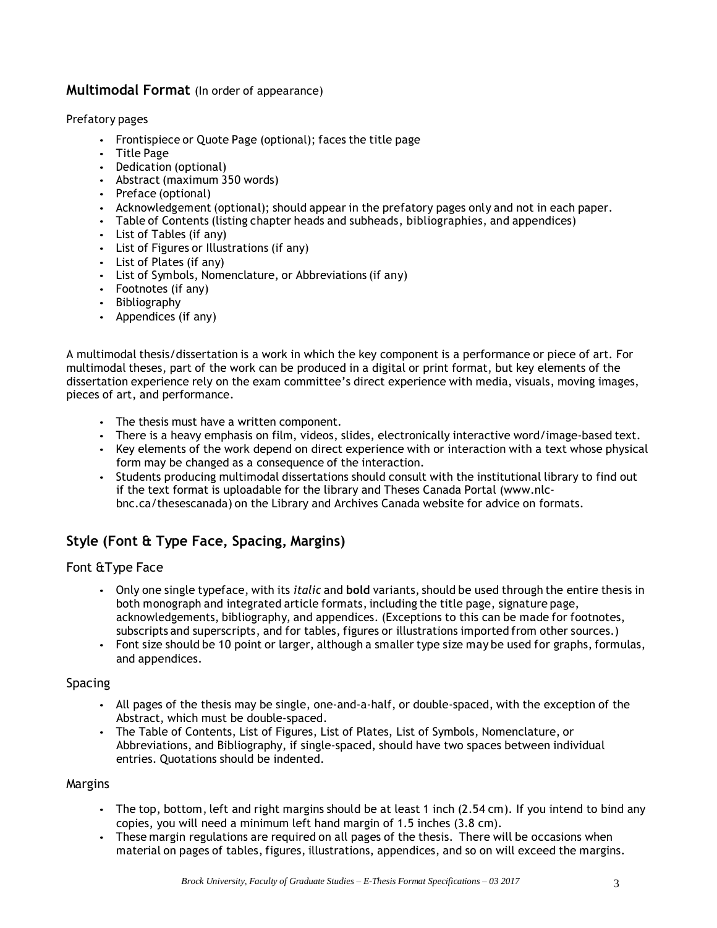# **Multimodal Format** (In order of appearance)

#### Prefatory pages

- Frontispiece or Quote Page (optional); faces the title page
- Title Page
- Dedication (optional)
- Abstract (maximum 350 words)
- Preface (optional)
- Acknowledgement (optional); should appear in the prefatory pages only and not in each paper.
- Table of Contents (listing chapter heads and subheads, bibliographies, and appendices)
- List of Tables (if any)
- List of Figures or Illustrations (if any)
- List of Plates (if any)
- List of Symbols, Nomenclature, or Abbreviations (if any)
- Footnotes (if any)
- Bibliography
- Appendices (if any)

A multimodal thesis/dissertation is a work in which the key component is a performance or piece of art. For multimodal theses, part of the work can be produced in a digital or print format, but key elements of the dissertation experience rely on the exam committee's direct experience with media, visuals, moving images, pieces of art, and performance.

- The thesis must have a written component.
- There is a heavy emphasis on film, videos, slides, electronically interactive word/image-based text.
- Key elements of the work depend on direct experience with or interaction with a text whose physical form may be changed as a consequence of the interaction.
- Students producing multimodal dissertations should consult with the institutional library to find out if the text format is uploadable for the library and Theses Canada Portal [\(www.nlc](http://www.nlc-bnc.ca/thesescanada)[bnc.ca/thesescanada\)](http://www.nlc-bnc.ca/thesescanada) on the Library and Archives Canada website for advice on formats.

# **Style (Font & Type Face, Spacing, Margins)**

# Font &Type Face

- Only one single typeface, with its *italic* and **bold** variants, should be used through the entire thesis in both monograph and integrated article formats,including the title page, signature page, acknowledgements, bibliography, and appendices. (Exceptions to this can be made for footnotes, subscripts and superscripts, and for tables, figures or illustrations imported from other sources.)
- Font size should be 10 point or larger, although a smaller type size may be used for graphs, formulas, and appendices.

# Spacing

- All pages of the thesis may be single, one-and-a-half, or double-spaced, with the exception of the Abstract, which must be double-spaced.
- The Table of Contents, List of Figures, List of Plates, List of Symbols, Nomenclature, or Abbreviations, and Bibliography, if single-spaced, should have two spaces between individual entries. Quotations should be indented.

#### Margins

- The top, bottom, left and right margins should be at least 1 inch (2.54 cm). If you intend to bind any copies, you will need a minimum left hand margin of 1.5 inches (3.8 cm).
- These margin regulations are required on all pages of the thesis. There will be occasions when material on pages of tables, figures, illustrations, appendices, and so on will exceed the margins.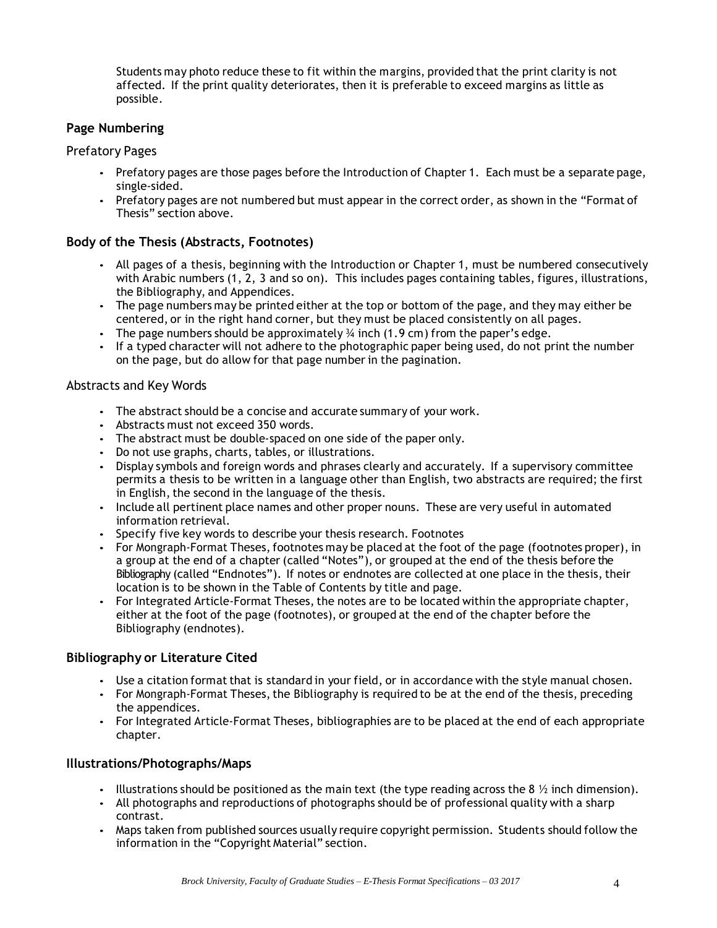Students may photo reduce these to fit within the margins, provided that the print clarity is not affected. If the print quality deteriorates, then it is preferable to exceed margins as little as possible.

# **Page Numbering**

#### Prefatory Pages

- Prefatory pages are those pages before the Introduction of Chapter 1. Each must be a separate page, single-sided.
- Prefatory pages are not numbered but must appear in the correct order, as shown in the "Format of Thesis" section above.

# **Body of the Thesis (Abstracts, Footnotes)**

- All pages of a thesis, beginning with the Introduction or Chapter 1, must be numbered consecutively with Arabic numbers (1, 2, 3 and so on). This includes pages containing tables, figures, illustrations, the Bibliography, and Appendices.
- The page numbers may be printed either at the top or bottom of the page, and they may either be centered, or in the right hand corner, but they must be placed consistently on all pages.
- The page numbers should be approximately  $\frac{3}{4}$  inch (1.9 cm) from the paper's edge.
- If a typed character will not adhere to the photographic paper being used, do not print the number on the page, but do allow for that page number in the pagination.

#### Abstracts and Key Words

- The abstract should be a concise and accurate summary of your work.
- Abstracts must not exceed 350 words.
- The abstract must be double-spaced on one side of the paper only.
- Do not use graphs, charts, tables, or illustrations.
- Display symbols and foreign words and phrases clearly and accurately. If a supervisory committee permits a thesis to be written in a language other than English, two abstracts are required; the first in English, the second in the language of the thesis.
- Include all pertinent place names and other proper nouns. These are very useful in automated information retrieval.
- Specify five key words to describe your thesis research. Footnotes
- For Mongraph-Format Theses, footnotes may be placed at the foot of the page (footnotes proper), in a group at the end of a chapter (called "Notes"), or grouped at the end of the thesis before the Bibliography (called "Endnotes"). If notes or endnotes are collected at one place in the thesis, their location is to be shown in the Table of Contents by title and page.
- For Integrated Article-Format Theses, the notes are to be located within the appropriate chapter, either at the foot of the page (footnotes), or grouped at the end of the chapter before the Bibliography (endnotes).

# **Bibliography or Literature Cited**

- Use a citation format that is standard in your field, or in accordance with the style manual chosen.
- For Mongraph-Format Theses, the Bibliography is required to be at the end of the thesis, preceding the appendices.
- For Integrated Article-Format Theses, bibliographies are to be placed at the end of each appropriate chapter.

# **Illustrations/Photographs/Maps**

- Illustrations should be positioned as the main text (the type reading across the 8  $\frac{1}{2}$  inch dimension).
- All photographs and reproductions of photographs should be of professional quality with a sharp contrast.
- Maps taken from published sources usually require copyright permission. Students should follow the information in the "Copyright Material" section.